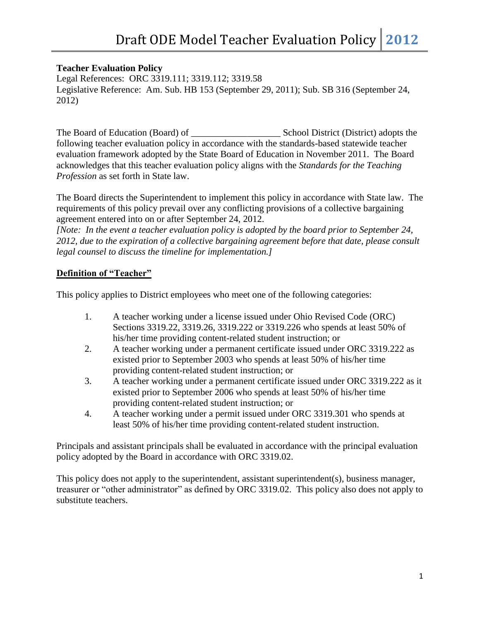### **Teacher Evaluation Policy**

Legal References: ORC 3319.111; 3319.112; 3319.58 Legislative Reference: Am. Sub. HB 153 (September 29, 2011); Sub. SB 316 (September 24, 2012)

The Board of Education (Board) of \_\_\_\_\_\_\_\_\_\_\_\_\_\_\_\_\_\_\_ School District (District) adopts the following teacher evaluation policy in accordance with the standards-based statewide teacher evaluation framework adopted by the State Board of Education in November 2011. The Board acknowledges that this teacher evaluation policy aligns with the *Standards for the Teaching Profession* as set forth in State law.

The Board directs the Superintendent to implement this policy in accordance with State law. The requirements of this policy prevail over any conflicting provisions of a collective bargaining agreement entered into on or after September 24, 2012.

*[Note: In the event a teacher evaluation policy is adopted by the board prior to September 24, 2012, due to the expiration of a collective bargaining agreement before that date, please consult legal counsel to discuss the timeline for implementation.]*

# **Definition of "Teacher"**

This policy applies to District employees who meet one of the following categories:

- 1. A teacher working under a license issued under Ohio Revised Code (ORC) Sections 3319.22, 3319.26, 3319.222 or 3319.226 who spends at least 50% of his/her time providing content-related student instruction; or
- 2. A teacher working under a permanent certificate issued under ORC 3319.222 as existed prior to September 2003 who spends at least 50% of his/her time providing content-related student instruction; or
- 3. A teacher working under a permanent certificate issued under ORC 3319.222 as it existed prior to September 2006 who spends at least 50% of his/her time providing content-related student instruction; or
- 4. A teacher working under a permit issued under ORC 3319.301 who spends at least 50% of his/her time providing content-related student instruction.

Principals and assistant principals shall be evaluated in accordance with the principal evaluation policy adopted by the Board in accordance with ORC 3319.02.

This policy does not apply to the superintendent, assistant superintendent(s), business manager, treasurer or "other administrator" as defined by ORC 3319.02. This policy also does not apply to substitute teachers.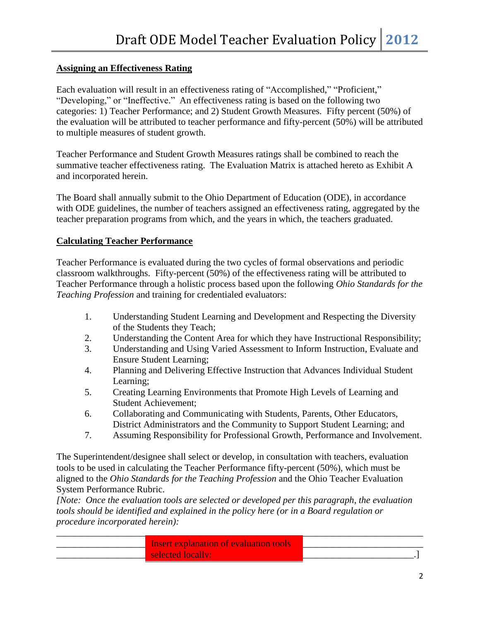## **Assigning an Effectiveness Rating**

Each evaluation will result in an effectiveness rating of "Accomplished," "Proficient," "Developing," or "Ineffective." An effectiveness rating is based on the following two categories: 1) Teacher Performance; and 2) Student Growth Measures. Fifty percent (50%) of the evaluation will be attributed to teacher performance and fifty-percent (50%) will be attributed to multiple measures of student growth.

Teacher Performance and Student Growth Measures ratings shall be combined to reach the summative teacher effectiveness rating. The Evaluation Matrix is attached hereto as Exhibit A and incorporated herein.

The Board shall annually submit to the Ohio Department of Education (ODE), in accordance with ODE guidelines, the number of teachers assigned an effectiveness rating, aggregated by the teacher preparation programs from which, and the years in which, the teachers graduated.

### **Calculating Teacher Performance**

Teacher Performance is evaluated during the two cycles of formal observations and periodic classroom walkthroughs. Fifty-percent (50%) of the effectiveness rating will be attributed to Teacher Performance through a holistic process based upon the following *Ohio Standards for the Teaching Profession* and training for credentialed evaluators:

- 1. Understanding Student Learning and Development and Respecting the Diversity of the Students they Teach;
- 2. Understanding the Content Area for which they have Instructional Responsibility;
- 3. Understanding and Using Varied Assessment to Inform Instruction, Evaluate and Ensure Student Learning;
- 4. Planning and Delivering Effective Instruction that Advances Individual Student Learning;
- 5. Creating Learning Environments that Promote High Levels of Learning and Student Achievement;
- 6. Collaborating and Communicating with Students, Parents, Other Educators, District Administrators and the Community to Support Student Learning; and
- 7. Assuming Responsibility for Professional Growth, Performance and Involvement.

The Superintendent/designee shall select or develop, in consultation with teachers, evaluation tools to be used in calculating the Teacher Performance fifty-percent (50%), which must be aligned to the *Ohio Standards for the Teaching Profession* and the Ohio Teacher Evaluation System Performance Rubric.

*[Note: Once the evaluation tools are selected or developed per this paragraph, the evaluation tools should be identified and explained in the policy here (or in a Board regulation or procedure incorporated herein):*

| Insert explanation of evaluation tools |  |
|----------------------------------------|--|
| selected locally:                      |  |
|                                        |  |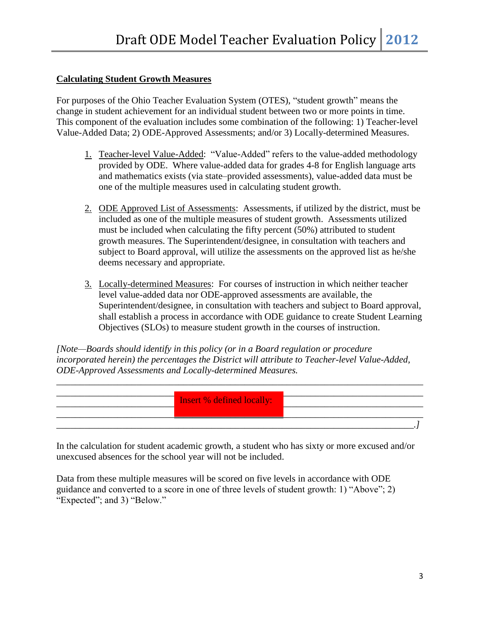### **Calculating Student Growth Measures**

For purposes of the Ohio Teacher Evaluation System (OTES), "student growth" means the change in student achievement for an individual student between two or more points in time. This component of the evaluation includes some combination of the following: 1) Teacher-level Value-Added Data; 2) ODE-Approved Assessments; and/or 3) Locally-determined Measures.

- 1. Teacher-level Value-Added: "Value-Added" refers to the value-added methodology provided by ODE. Where value-added data for grades 4-8 for English language arts and mathematics exists (via state–provided assessments), value-added data must be one of the multiple measures used in calculating student growth.
- 2. ODE Approved List of Assessments: Assessments, if utilized by the district, must be included as one of the multiple measures of student growth. Assessments utilized must be included when calculating the fifty percent (50%) attributed to student growth measures. The Superintendent/designee, in consultation with teachers and subject to Board approval, will utilize the assessments on the approved list as he/she deems necessary and appropriate.
- 3. Locally-determined Measures: For courses of instruction in which neither teacher level value-added data nor ODE-approved assessments are available, the Superintendent/designee, in consultation with teachers and subject to Board approval, shall establish a process in accordance with ODE guidance to create Student Learning Objectives (SLOs) to measure student growth in the courses of instruction.

*[Note—Boards should identify in this policy (or in a Board regulation or procedure incorporated herein) the percentages the District will attribute to Teacher-level Value-Added, ODE-Approved Assessments and Locally-determined Measures.* 



In the calculation for student academic growth, a student who has sixty or more excused and/or unexcused absences for the school year will not be included.

Data from these multiple measures will be scored on five levels in accordance with ODE guidance and converted to a score in one of three levels of student growth: 1) "Above"; 2) "Expected"; and 3) "Below."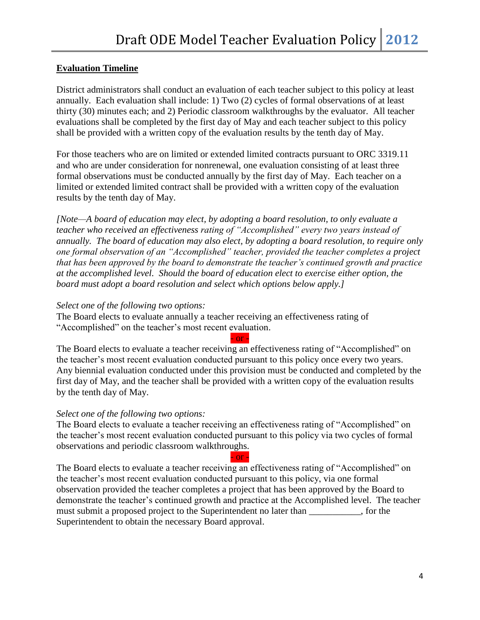### **Evaluation Timeline**

District administrators shall conduct an evaluation of each teacher subject to this policy at least annually. Each evaluation shall include: 1) Two (2) cycles of formal observations of at least thirty (30) minutes each; and 2) Periodic classroom walkthroughs by the evaluator. All teacher evaluations shall be completed by the first day of May and each teacher subject to this policy shall be provided with a written copy of the evaluation results by the tenth day of May.

For those teachers who are on limited or extended limited contracts pursuant to ORC 3319.11 and who are under consideration for nonrenewal, one evaluation consisting of at least three formal observations must be conducted annually by the first day of May. Each teacher on a limited or extended limited contract shall be provided with a written copy of the evaluation results by the tenth day of May.

*[Note—A board of education may elect, by adopting a board resolution, to only evaluate a teacher who received an effectiveness rating of "Accomplished" every two years instead of annually. The board of education may also elect, by adopting a board resolution, to require only one formal observation of an "Accomplished" teacher, provided the teacher completes a project that has been approved by the board to demonstrate the teacher's continued growth and practice at the accomplished level. Should the board of education elect to exercise either option, the board must adopt a board resolution and select which options below apply.]*

#### *Select one of the following two options:*

The Board elects to evaluate annually a teacher receiving an effectiveness rating of "Accomplished" on the teacher's most recent evaluation.

The Board elects to evaluate a teacher receiving an effectiveness rating of "Accomplished" on the teacher's most recent evaluation conducted pursuant to this policy once every two years. Any biennial evaluation conducted under this provision must be conducted and completed by the first day of May, and the teacher shall be provided with a written copy of the evaluation results by the tenth day of May.

 $-$  or  $-$ 

### *Select one of the following two options:*

The Board elects to evaluate a teacher receiving an effectiveness rating of "Accomplished" on the teacher's most recent evaluation conducted pursuant to this policy via two cycles of formal observations and periodic classroom walkthroughs.

The Board elects to evaluate a teacher receiving an effectiveness rating of "Accomplished" on the teacher's most recent evaluation conducted pursuant to this policy, via one formal observation provided the teacher completes a project that has been approved by the Board to demonstrate the teacher's continued growth and practice at the Accomplished level. The teacher must submit a proposed project to the Superintendent no later than \_\_\_\_\_\_\_\_\_, for the Superintendent to obtain the necessary Board approval.

 $-$  or  $-$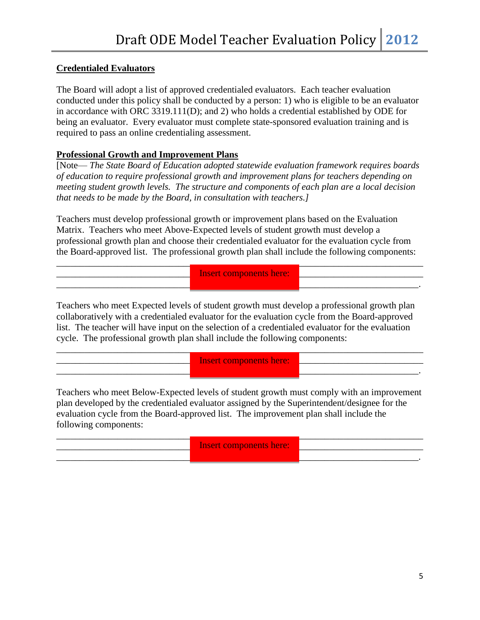## **Credentialed Evaluators**

The Board will adopt a list of approved credentialed evaluators. Each teacher evaluation conducted under this policy shall be conducted by a person: 1) who is eligible to be an evaluator in accordance with ORC 3319.111(D); and 2) who holds a credential established by ODE for being an evaluator. Every evaluator must complete state-sponsored evaluation training and is required to pass an online credentialing assessment.

### **Professional Growth and Improvement Plans**

[Note— *The State Board of Education adopted statewide evaluation framework requires boards of education to require professional growth and improvement plans for teachers depending on meeting student growth levels. The structure and components of each plan are a local decision that needs to be made by the Board, in consultation with teachers.]*

Teachers must develop professional growth or improvement plans based on the Evaluation Matrix. Teachers who meet Above-Expected levels of student growth must develop a professional growth plan and choose their credentialed evaluator for the evaluation cycle from the Board-approved list. The professional growth plan shall include the following components:

\_\_\_\_\_\_\_\_\_\_\_\_\_\_\_\_\_\_\_\_\_\_\_\_\_\_\_\_\_\_\_\_\_\_\_\_\_\_\_\_\_\_\_\_\_\_\_\_\_\_\_\_\_\_\_\_\_\_\_\_\_\_\_\_\_\_\_\_\_\_\_\_\_\_\_\_\_\_ \_\_\_\_\_\_\_\_\_\_\_\_\_\_\_\_\_\_\_\_\_\_\_\_\_\_\_\_\_\_\_\_\_\_\_\_\_\_\_\_\_\_\_\_\_\_\_\_\_\_\_\_\_\_\_\_\_\_\_\_\_\_\_\_\_\_\_\_\_\_\_\_\_\_\_\_\_\_ Insert components here:

\_\_\_\_\_\_\_\_\_\_\_\_\_\_\_\_\_\_\_\_\_\_\_\_\_\_\_\_\_\_\_\_\_\_\_\_\_\_\_\_\_\_\_\_\_\_\_\_\_\_\_\_\_\_\_\_\_\_\_\_\_\_\_\_\_\_\_\_\_\_\_\_\_\_\_\_\_.

Teachers who meet Expected levels of student growth must develop a professional growth plan collaboratively with a credentialed evaluator for the evaluation cycle from the Board-approved list. The teacher will have input on the selection of a credentialed evaluator for the evaluation cycle. The professional growth plan shall include the following components:

\_\_\_\_\_\_\_\_\_\_\_\_\_\_\_\_\_\_\_\_\_\_\_\_\_\_\_\_\_\_\_\_\_\_\_\_\_\_\_\_\_\_\_\_\_\_\_\_\_\_\_\_\_\_\_\_\_\_\_\_\_\_\_\_\_\_\_\_\_\_\_\_\_\_\_\_\_\_

\_\_\_\_\_\_\_\_\_\_\_\_\_\_\_\_\_\_\_\_\_\_\_\_\_\_\_\_\_\_\_\_\_\_\_\_\_\_\_\_\_\_\_\_\_\_\_\_\_\_\_\_\_\_\_\_\_\_\_\_\_\_\_\_\_\_\_\_\_\_\_\_\_\_\_\_\_.

\_\_\_\_\_\_\_\_\_\_\_\_\_\_\_\_\_\_\_\_\_\_\_\_\_\_\_\_\_\_\_\_\_\_\_\_\_\_\_\_\_\_\_\_\_\_\_\_\_\_\_\_\_\_\_\_\_\_\_\_\_\_\_\_\_\_\_\_\_\_\_\_\_\_\_\_\_\_ Insert components here:

Teachers who meet Below-Expected levels of student growth must comply with an improvement plan developed by the credentialed evaluator assigned by the Superintendent/designee for the evaluation cycle from the Board-approved list. The improvement plan shall include the following components:

\_\_\_\_\_\_\_\_\_\_\_\_\_\_\_\_\_\_\_\_\_\_\_\_\_\_\_\_\_\_\_\_\_\_\_\_\_\_\_\_\_\_\_\_\_\_\_\_\_\_\_\_\_\_\_\_\_\_\_\_\_\_\_\_\_\_\_\_\_\_\_\_\_\_\_\_\_\_ \_\_\_\_\_\_\_\_\_\_\_\_\_\_\_\_\_\_\_\_\_\_\_\_\_\_\_\_\_\_\_\_\_\_\_\_\_\_\_\_\_\_\_\_\_\_\_\_\_\_\_\_\_\_\_\_\_\_\_\_\_\_\_\_\_\_\_\_\_\_\_\_\_\_\_\_\_\_ Insert components here:\_\_\_\_\_\_\_\_\_\_\_\_\_\_\_\_\_\_\_\_\_\_\_\_\_\_\_\_\_\_\_\_\_\_\_\_\_\_\_\_\_\_\_\_\_\_\_\_\_\_\_\_\_\_\_\_\_\_\_\_\_\_\_\_\_\_\_\_\_\_\_\_\_\_\_\_\_.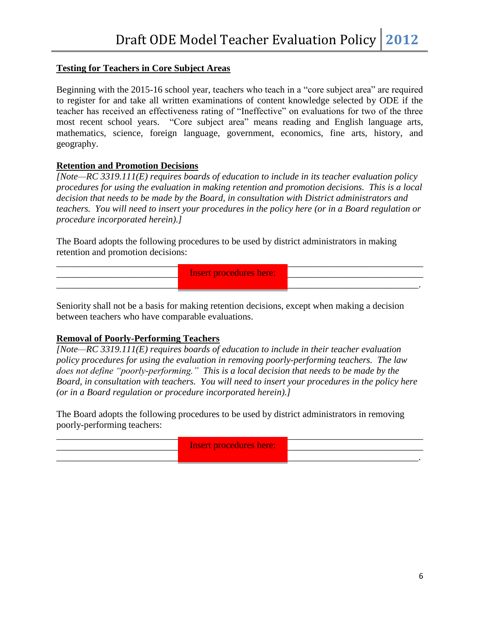## **Testing for Teachers in Core Subject Areas**

Beginning with the 2015-16 school year, teachers who teach in a "core subject area" are required to register for and take all written examinations of content knowledge selected by ODE if the teacher has received an effectiveness rating of "Ineffective" on evaluations for two of the three most recent school years. "Core subject area" means reading and English language arts, mathematics, science, foreign language, government, economics, fine arts, history, and geography.

### **Retention and Promotion Decisions**

*[Note—RC 3319.111(E) requires boards of education to include in its teacher evaluation policy procedures for using the evaluation in making retention and promotion decisions. This is a local decision that needs to be made by the Board, in consultation with District administrators and teachers. You will need to insert your procedures in the policy here (or in a Board regulation or procedure incorporated herein).]*

The Board adopts the following procedures to be used by district administrators in making retention and promotion decisions:

| <b>Insert procedures here:</b> |  |
|--------------------------------|--|
|                                |  |

Seniority shall not be a basis for making retention decisions, except when making a decision between teachers who have comparable evaluations.

# **Removal of Poorly-Performing Teachers**

*[Note—RC 3319.111(E) requires boards of education to include in their teacher evaluation policy procedures for using the evaluation in removing poorly-performing teachers. The law does not define "poorly-performing." This is a local decision that needs to be made by the Board, in consultation with teachers. You will need to insert your procedures in the policy here (or in a Board regulation or procedure incorporated herein).]*

The Board adopts the following procedures to be used by district administrators in removing poorly-performing teachers:

| <b>Insert procedures here:</b> |  |
|--------------------------------|--|
|                                |  |